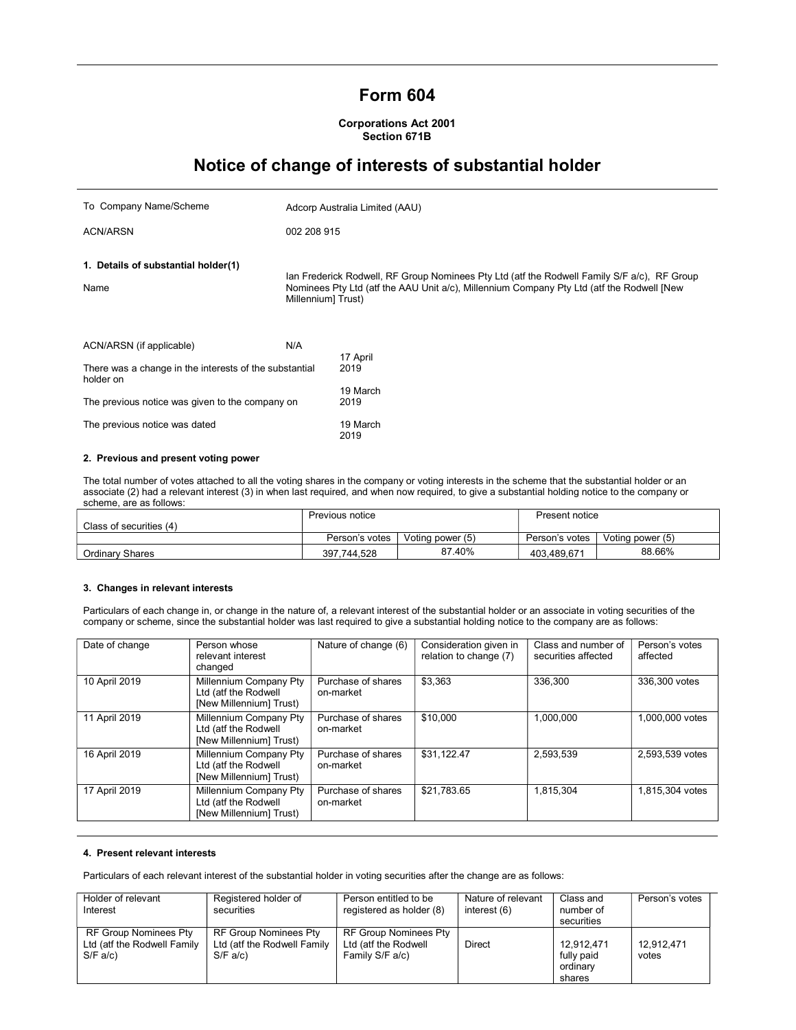## Form 604

#### Corporations Act 2001 Section 671B

# Notice of change of interests of substantial holder

| To Company Name/Scheme                                                                                                                             | Adcorp Australia Limited (AAU) |                                                                                                                                                                                          |  |
|----------------------------------------------------------------------------------------------------------------------------------------------------|--------------------------------|------------------------------------------------------------------------------------------------------------------------------------------------------------------------------------------|--|
| <b>ACN/ARSN</b>                                                                                                                                    | 002 208 915                    |                                                                                                                                                                                          |  |
| 1. Details of substantial holder(1)<br>Name                                                                                                        | Millennium] Trust)             | Ian Frederick Rodwell, RF Group Nominees Pty Ltd (atf the Rodwell Family S/F a/c), RF Group<br>Nominees Pty Ltd (atf the AAU Unit a/c), Millennium Company Pty Ltd (atf the Rodwell [New |  |
| ACN/ARSN (if applicable)<br>There was a change in the interests of the substantial<br>holder on<br>The previous notice was given to the company on | N/A                            | 17 April<br>2019<br>19 March<br>2019                                                                                                                                                     |  |
| The previous notice was dated                                                                                                                      |                                | 19 March<br>2019                                                                                                                                                                         |  |
| 2. Previous and present voting power                                                                                                               |                                |                                                                                                                                                                                          |  |

The total number of votes attached to all the voting shares in the company or voting interests in the scheme that the substantial holder or an associate (2) had a relevant interest (3) in when last required, and when now required, to give a substantial holding notice to the company or scheme, are as follows:

|                         | Previous notice |                  | Present notice |                  |
|-------------------------|-----------------|------------------|----------------|------------------|
| Class of securities (4) |                 |                  |                |                  |
|                         | Person's votes  | Voting power (5) | Person's votes | Voting power (5) |
| Ordinary Shares         | 397.744.528     | 87.40%           | 403.489.671    | 88.66%           |

#### 3. Changes in relevant interests

Particulars of each change in, or change in the nature of, a relevant interest of the substantial holder or an associate in voting securities of the company or scheme, since the substantial holder was last required to give a substantial holding notice to the company are as follows:

| Date of change | Person whose<br>relevant interest<br>changed                              | Nature of change (6)            | Consideration given in<br>relation to change (7) | Class and number of<br>securities affected | Person's votes<br>affected |
|----------------|---------------------------------------------------------------------------|---------------------------------|--------------------------------------------------|--------------------------------------------|----------------------------|
| 10 April 2019  | Millennium Company Pty<br>Ltd (atf the Rodwell<br>[New Millennium] Trust) | Purchase of shares<br>on-market | \$3.363                                          | 336.300                                    | 336,300 votes              |
| 11 April 2019  | Millennium Company Pty<br>Ltd (atf the Rodwell<br>[New Millennium] Trust) | Purchase of shares<br>on-market | \$10,000                                         | 1.000.000                                  | 1.000.000 votes            |
| 16 April 2019  | Millennium Company Pty<br>Ltd (atf the Rodwell<br>[New Millennium] Trust) | Purchase of shares<br>on-market | \$31.122.47                                      | 2.593.539                                  | 2.593.539 votes            |
| 17 April 2019  | Millennium Company Pty<br>Ltd (atf the Rodwell<br>[New Millennium] Trust) | Purchase of shares<br>on-market | \$21,783.65                                      | 1,815,304                                  | 1.815.304 votes            |

### 4. Present relevant interests

Particulars of each relevant interest of the substantial holder in voting securities after the change are as follows:

| Holder of relevant          | Registered holder of         | Person entitled to be        | Nature of relevant | Class and  | Person's votes |
|-----------------------------|------------------------------|------------------------------|--------------------|------------|----------------|
| Interest                    | securities                   | registered as holder (8)     | interest (6)       | number of  |                |
|                             |                              |                              |                    | securities |                |
| RF Group Nominees Pty       | <b>RF Group Nominees Pty</b> | <b>RF Group Nominees Pty</b> |                    |            |                |
| Ltd (atf the Rodwell Family | Ltd (atf the Rodwell Family  | Ltd (atf the Rodwell         | <b>Direct</b>      | 12.912.471 | 12.912.471     |
| S/F a/c                     | S/F a/c                      | Family S/F a/c)              |                    | fully paid | votes          |
|                             |                              |                              |                    | ordinarv   |                |
|                             |                              |                              |                    | shares     |                |